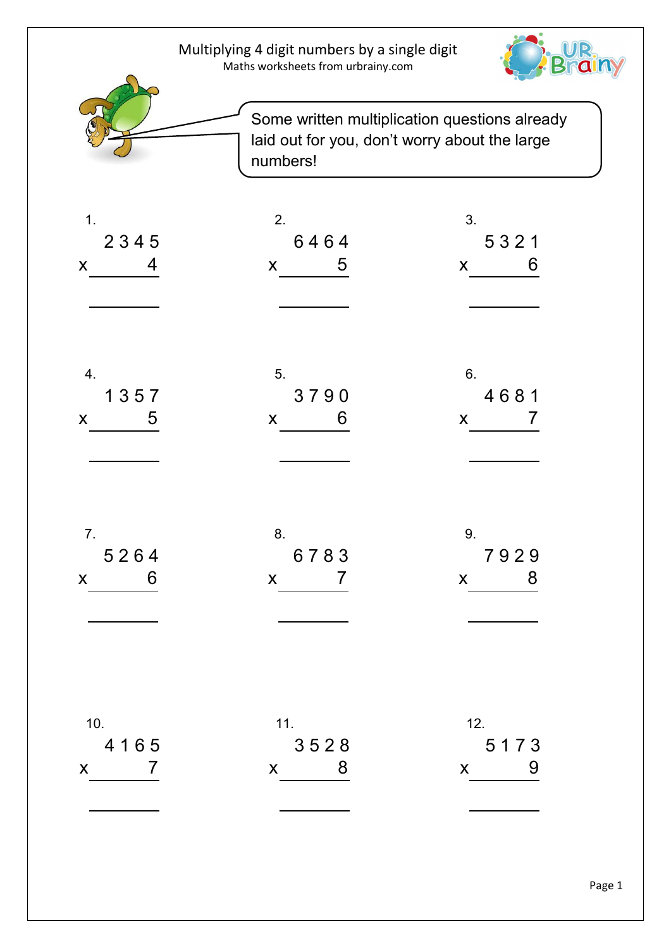| Multiplying 4 digit numbers by a single digit |  |
|-----------------------------------------------|--|
| Maths worksheets from urbrainy.com            |  |





Some written multiplication questions already laid out for you, don't worry about the large numbers!

| 1.                                             | 2.                                 | 3.                         |
|------------------------------------------------|------------------------------------|----------------------------|
| 2345                                           | 6464                               | 5321                       |
| $x \qquad 4$                                   | $x = 5$                            | $x$ 6                      |
| 4.                                             | 5.                                 | 6.                         |
| 1357                                           | 3790                               | 4681                       |
| $x = 5$                                        | $x$ 6                              | $x \qquad 7$               |
| 7.<br>5264<br>$\overline{6}$<br>$\mathsf{X}^-$ | 8.<br>6783<br>$x \hspace{1.5cm} 7$ | 9.<br>7929<br>$x \qquad 8$ |
| 10.                                            | 11.                                | 12.                        |
| 4165                                           | 3528                               | 5173                       |
| $\overline{7}$                                 | 8                                  | 9                          |
| $\mathsf{X}$                                   | $\mathsf{X}$                       | $\mathsf{X}$               |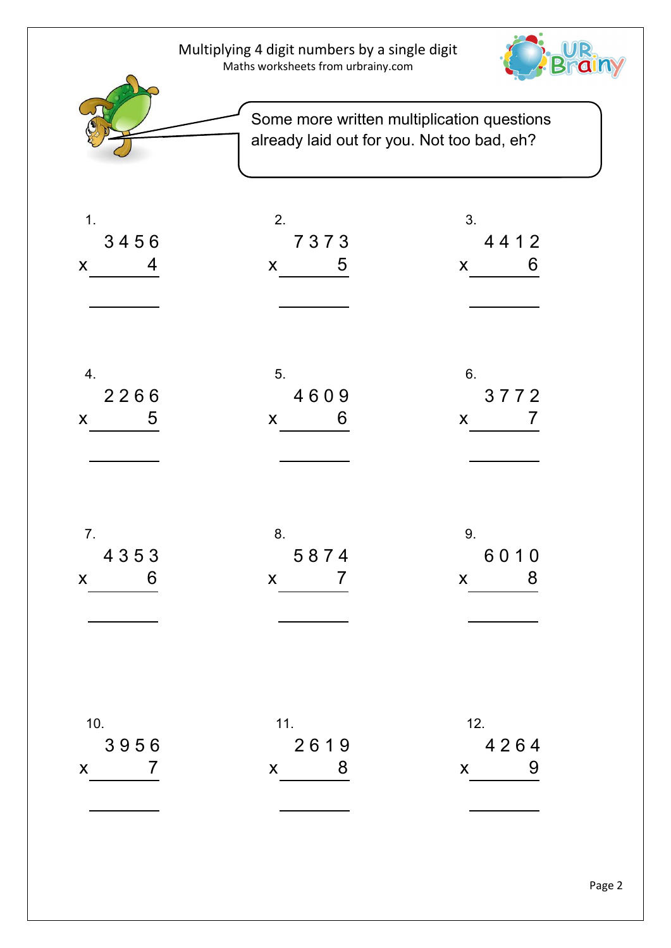|                                                           | Multiplying 4 digit numbers by a single digit<br>Maths worksheets from urbrainy.com |                                                                                          |          |
|-----------------------------------------------------------|-------------------------------------------------------------------------------------|------------------------------------------------------------------------------------------|----------|
|                                                           |                                                                                     | Some more written multiplication questions<br>already laid out for you. Not too bad, eh? |          |
| 1.<br>3456<br>4<br>X                                      | 2.<br>7373<br>5<br>X                                                                | 3.<br>4412<br>X                                                                          | 6        |
| 4.<br>2266<br>5<br>X                                      | 5.<br>4609<br>6<br>X                                                                | 6.<br>3772<br>X                                                                          | $\prime$ |
| 7.<br>4353<br>$\overline{6}$<br>$\boldsymbol{\mathsf{X}}$ | 8.<br>5874<br>$\overline{7}$<br>$\mathsf{X}$                                        | 9.<br>6010<br>$\overline{\phantom{0}}$ 8<br>$\mathsf{X}$                                 |          |
| 10.<br>3956<br>$\overline{7}$<br>$\mathsf{X}$             | 11.<br>2619<br>$\overline{\phantom{a}}$ 8<br>$\mathsf{X}$                           | 12.<br>4264<br>$\overline{9}$<br>$\mathsf{X}$                                            |          |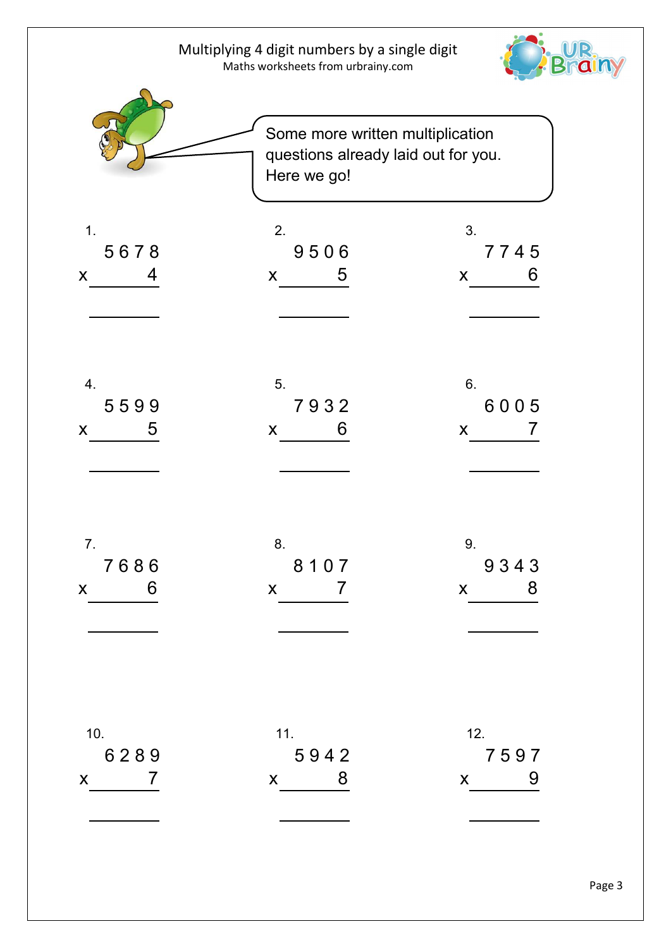|                                               | Multiplying 4 digit numbers by a single digit<br>Maths worksheets from urbrainy.com |                                                                         |                            |
|-----------------------------------------------|-------------------------------------------------------------------------------------|-------------------------------------------------------------------------|----------------------------|
|                                               | Here we go!                                                                         | Some more written multiplication<br>questions already laid out for you. |                            |
| 1.<br>5678<br>4<br>X                          | 2.<br>9506<br>5<br>X                                                                | 3.<br>7745<br>X                                                         | 6                          |
| 4.<br>5599<br>5<br>X                          | 5.<br>7932<br>6<br>X                                                                | 6.<br>6005<br>X                                                         |                            |
| 7.<br>7686<br>$\overline{6}$<br>$\mathsf{X}$  | 8.<br>8107<br>$\overline{7}$<br>$\mathsf{X}$                                        | 9.<br>9343<br>$\overline{\phantom{0}}$ 8<br>$\mathsf{X}$                |                            |
| 10.<br>6289<br>$\overline{7}$<br>$\mathsf{X}$ | 11.<br>5942<br>$\overline{\mathbf{8}}$<br>$\mathsf{X}$                              | 12.<br>7597<br>$\mathsf{X}$                                             | $\overline{\phantom{0}}$ 9 |